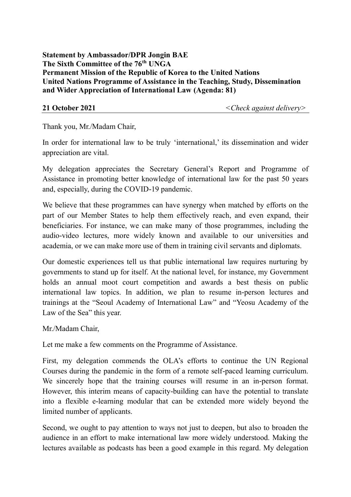**Statement by Ambassador/DPR Jongin BAE The Sixth Committee of the 76th UNGA Permanent Mission of the Republic of Korea to the United Nations United Nations Programme of Assistance in the Teaching, Study, Dissemination and Wider Appreciation of International Law (Agenda: 81)** 

**21 October 2021** *<Check against delivery>*

Thank you, Mr./Madam Chair,

In order for international law to be truly 'international,' its dissemination and wider appreciation are vital.

My delegation appreciates the Secretary General's Report and Programme of Assistance in promoting better knowledge of international law for the past 50 years and, especially, during the COVID-19 pandemic.

We believe that these programmes can have synergy when matched by efforts on the part of our Member States to help them effectively reach, and even expand, their beneficiaries. For instance, we can make many of those programmes, including the audio-video lectures, more widely known and available to our universities and academia, or we can make more use of them in training civil servants and diplomats.

Our domestic experiences tell us that public international law requires nurturing by governments to stand up for itself. At the national level, for instance, my Government holds an annual moot court competition and awards a best thesis on public international law topics. In addition, we plan to resume in-person lectures and trainings at the "Seoul Academy of International Law" and "Yeosu Academy of the Law of the Sea" this year.

Mr./Madam Chair,

Let me make a few comments on the Programme of Assistance.

First, my delegation commends the OLA's efforts to continue the UN Regional Courses during the pandemic in the form of a remote self-paced learning curriculum. We sincerely hope that the training courses will resume in an in-person format. However, this interim means of capacity-building can have the potential to translate into a flexible e-learning modular that can be extended more widely beyond the limited number of applicants.

Second, we ought to pay attention to ways not just to deepen, but also to broaden the audience in an effort to make international law more widely understood. Making the lectures available as podcasts has been a good example in this regard. My delegation